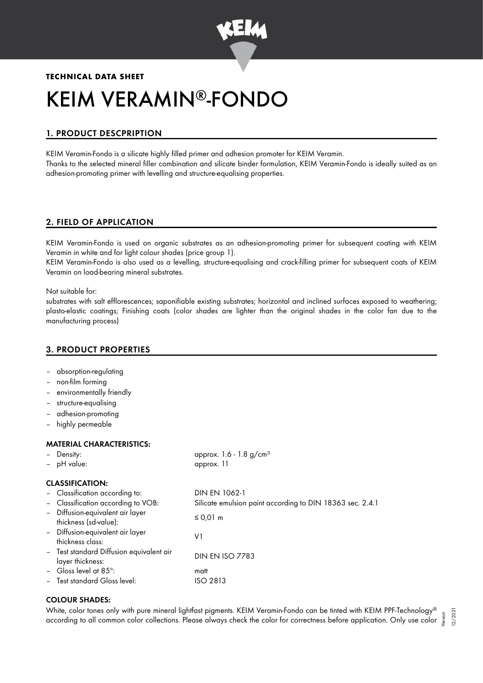

# **TECHNICAL DATA SHEET** KEIM VERAMIN®-FONDO

## 1. PRODUCT DESCPRIPTION

KEIM Veramin-Fondo is a silicate highly filled primer and adhesion promoter for KEIM Veramin. Thanks to the selected mineral filler combination and silicate binder formulation, KEIM Veramin-Fondo is ideally suited as an adhesion-promoting primer with levelling and structure-equalising properties.

## 2. FIELD OF APPLICATION

KEIM Veramin-Fondo is used on organic substrates as an adhesion-promoting primer for subsequent coating with KEIM Veramin in white and for light colour shades (price group 1).

KEIM Veramin-Fondo is also used as a levelling, structure-equalising and crack-filling primer for subsequent coats of KEIM Veramin on load-bearing mineral substrates.

Not suitable for:

substrates with salt efflorescences; saponifiable existing substrates; horizontal and inclined surfaces exposed to weathering; plasto-elastic coatings; Finishing coats (color shades are lighter than the original shades in the color fan due to the manufacturing process)

## 3. PRODUCT PROPERTIES

- absorption-regulating
- non-film forming
- environmentally friendly
- structure-equalising
- adhesion-promoting
- highly permeable

#### MATERIAL CHARACTERISTICS:

| - Density:<br>- pH value:     |                                                           | approx. $1.6 - 1.8$ g/cm <sup>3</sup><br>approx. 11       |
|-------------------------------|-----------------------------------------------------------|-----------------------------------------------------------|
| <b>CLASSIFICATION:</b>        |                                                           |                                                           |
|                               | - Classification according to:                            | DIN EN 1062-1                                             |
|                               | - Classification according to VOB:                        | Silicate emulsion paint according to DIN 18363 sec. 2.4.1 |
|                               | - Diffusion-equivalent air layer<br>thickness (sd-value): | ≤ 0,01 m                                                  |
| thickness class:              | - Diffusion-equivalent air layer                          | V١                                                        |
| layer thickness:              | - Test standard Diffusion equivalent air                  | <b>DIN EN ISO 7783</b>                                    |
| - Gloss level at $85^\circ$ : |                                                           | matt                                                      |
|                               | - Test standard Gloss level:                              | ISO 2813                                                  |
|                               |                                                           |                                                           |

## COLOUR SHADES:

White, color tones only with pure mineral lightfast pigments. KEIM Veramin-Fondo can be tinted with KEIM PPF-Technology ® white, color tones only with pure mineral lighttast pigments. KEIM Veramin-rondo can be tinted with KEIM PPF-Technology® <sub>ss</sub> a<br>« according to all common color collections. Please always check the color for correctness bef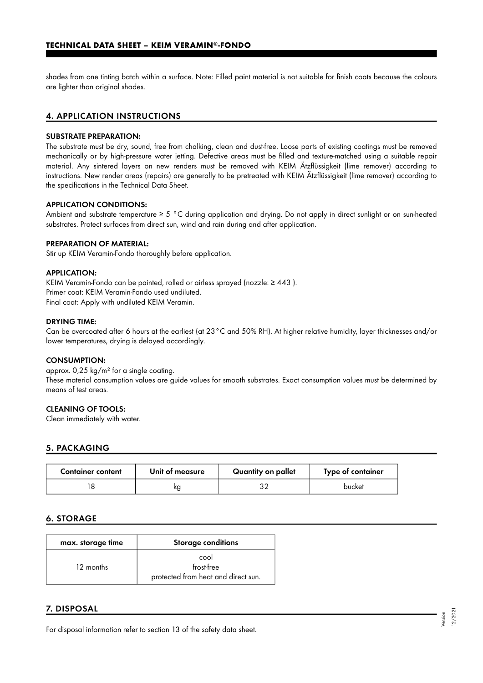shades from one tinting batch within a surface. Note: Filled paint material is not suitable for finish coats because the colours are lighter than original shades.

### 4. APPLICATION INSTRUCTIONS

#### SUBSTRATE PREPARATION:

The substrate must be dry, sound, free from chalking, clean and dust-free. Loose parts of existing coatings must be removed mechanically or by high-pressure water jetting. Defective areas must be filled and texture-matched using a suitable repair material. Any sintered layers on new renders must be removed with KEIM Ätzflüssigkeit (lime remover) according to instructions. New render areas (repairs) are generally to be pretreated with KEIM Ätzflüssigkeit (lime remover) according to the specifications in the Technical Data Sheet.

#### APPLICATION CONDITIONS:

Ambient and substrate temperature ≥ 5 °C during application and drying. Do not apply in direct sunlight or on sun-heated substrates. Protect surfaces from direct sun, wind and rain during and after application.

#### PREPARATION OF MATERIAL:

Stir up KEIM Veramin-Fondo thoroughly before application.

#### APPLICATION:

KEIM Veramin-Fondo can be painted, rolled or airless sprayed (nozzle: ≥ 443 ). Primer coat: KEIM Veramin-Fondo used undiluted. Final coat: Apply with undiluted KEIM Veramin.

#### DRYING TIME:

Can be overcoated after 6 hours at the earliest (at 23°C and 50% RH). At higher relative humidity, layer thicknesses and/or lower temperatures, drying is delayed accordingly.

#### CONSUMPTION:

approx. 0,25 kg/m² for a single coating. These material consumption values are guide values for smooth substrates. Exact consumption values must be determined by means of test areas.

#### CLEANING OF TOOLS:

Clean immediately with water.

#### 5. PACKAGING

| <b>Container content</b> | Unit of measure | Quantity on pallet | Type of container |
|--------------------------|-----------------|--------------------|-------------------|
|                          | ĸg              |                    | bucket            |

#### 6. STORAGE

| max. storage time | <b>Storage conditions</b>                                 |
|-------------------|-----------------------------------------------------------|
| 12 months         | cool<br>frost-free<br>protected from heat and direct sun. |

## 7. DISPOSAL

For disposal information refer to section 13 of the safety data sheet.